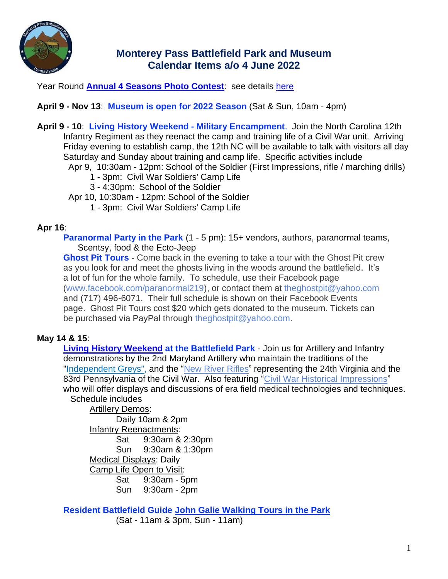

# **Monterey Pass Battlefield Park and Museum Calendar Items a/o 4 June 2022**

Year Round **[Annual 4 Seasons Photo Contest](https://montereypassbattlefield.org/wp-content/uploads/2022/04/Photo-Contest-2021-.-22.pdf)**: see details [here](https://montereypassbattlefield.org/wp-content/uploads/2022/04/2022-Photo-Contest-Rules-2021-2022-220410.pdf)

## **April 9 - Nov 13**: **Museum is open for 2022 Season** (Sat & Sun, 10am - 4pm)

**April 9 - 10**: **Living History Weekend - Military Encampment**. Join the North Carolina 12th Infantry Regiment as they reenact the camp and training life of a Civil War unit. Arriving Friday evening to establish camp, the 12th NC will be available to talk with visitors all day Saturday and Sunday about training and camp life. Specific activities include

- Apr 9, 10:30am 12pm: School of the Soldier (First Impressions, rifle / marching drills)
	- 1 3pm: Civil War Soldiers' Camp Life
	- 3 4:30pm: School of the Soldier
- Apr 10, 10:30am 12pm: School of the Soldier
	- 1 3pm: Civil War Soldiers' Camp Life

### **Apr 16**:

**Paranormal Party in the Park** (1 - 5 pm): 15+ vendors, authors, paranormal teams, Scentsy, food & the Ecto-Jeep

**Ghost Pit Tours** - Come back in the evening to take a tour with the Ghost Pit crew as you look for and meet the ghosts living in the woods around the battlefield. It's a lot of fun for the whole family. To schedule, use their Facebook page [\(www.facebook.com/paranormal219\)](http://www.facebook.com/paranormal219), or contact them at [theghostpit@yahoo.com](mailto:theghostpit@yahoo.com) and (717) 496-6071. Their full schedule is shown on their Facebook Events page. Ghost Pit Tours cost \$20 which gets donated to the museum. Tickets can be purchased via PayPal through theghostpit@vahoo.com.

## **May 14 & 15**:

**[Living History Weekend](https://montereypassbattlefield.org/wp-content/uploads/2022/04/Living-History-Weekend-Artillery-Reenactors-220514-15.pdf) at the Battlefield Park** - Join us for Artillery and Infantry demonstrations by the 2nd Maryland Artillery who maintain the traditions of the ["Independent Greys",](https://www.independentgreys.com/) and the "New River [Rifles"](https://www.facebook.com/groups/23064116911/events) representing the 24th Virginia and the 83rd Pennsylvania of the Civil War. Also featuring "Civil War Historical [Impressions"](http://civilwarhistoricalimpressions.com/) who will offer displays and discussions of era field medical technologies and techniques. Schedule includes

Artillery Demos: Daily 10am & 2pm Infantry Reenactments: Sat 9:30am & 2:30pm Sun 9:30am & 1:30pm Medical Displays: Daily Camp Life Open to Visit: Sat 9:30am - 5pm Sun 9:30am - 2pm

**Resident Battlefield Guide [John Galie Walking Tours in the Park](https://montereypassbattlefield.org/wp-content/uploads/2022/04/Galie-Walking-Tours-220514-15.pdf)** (Sat - 11am & 3pm, Sun - 11am)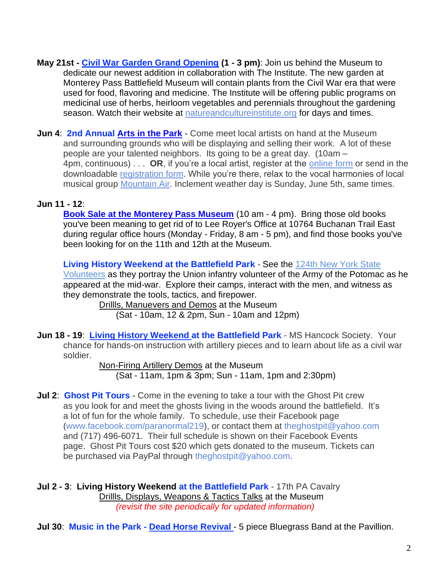- **May 21st - [Civil War Garden Grand Opening](https://montereypassbattlefield.org/wp-content/uploads/2022/04/Civil-War-Garden.jpg) (1 - 3 pm)**: Join us behind the Museum to dedicate our newest addition in collaboration with The Institute. The new garden at Monterey Pass Battlefield Museum will contain plants from the Civil War era that were used for food, flavoring and medicine. The Institute will be offering public programs on medicinal use of herbs, heirloom vegetables and perennials throughout the gardening season. Watch their website at [natureandcultureinstitute.org](https://natureandcultureinstitute.org/) for days and times.
- **Jun 4**: **2nd Annual Arts [in the Park](https://montereypassbattlefield.org/wp-content/uploads/2022/04/Art-Fest-2.1.pdf)** Come meet local artists on hand at the Museum and surrounding grounds who will be displaying and selling their work. A lot of these people are your talented neighbors. Its going to be a great day. (10am – 4pm, continuous) . . . **OR**, if you're a local artist, register at the [online](https://docs.google.com/forms/d/e/1FAIpQLScTSz_9DEkLBIjER0g7kkU8_Hn8Fv5NZ1R_ac-L102x1IfacA/viewform?usp=pp_url) form or send in the downloadable [registration](https://montereypassbattlefield.org/wp-content/uploads/2022/04/Registration-Form-2022.pdf) form. While you're there, relax to the vocal harmonies of local musical group [Mountain](https://www.facebook.com/mountainairband/?ref=page_internal) Air. Inclement weather day is Sunday, June 5th, same times.

# **Jun 11 - 12**:

**[Book Sale at the Monterey Pass Museum](https://montereypassbattlefield.org/wp-content/uploads/2022/04/Book-Sales-220611-12.pdf)** (10 am - 4 pm). Bring those old books you've been meaning to get rid of to Lee Royer's Office at 10764 Buchanan Trail East during regular office hours (Monday - Friday, 8 am - 5 pm), and find those books you've been looking for on the 11th and 12th at the Museum.

**Living History Weekend at the Battlefield Park** - See the [124th New York State](https://montereypassbattlefield.org/wp-content/uploads/2022/05/Living-History-Weekend-Artillery-Reenactors-220611-12.pdf) [Volunteers](https://montereypassbattlefield.org/wp-content/uploads/2022/05/Living-History-Weekend-Artillery-Reenactors-220611-12.pdf) as they portray the Union infantry volunteer of the Army of the Potomac as he appeared at the mid-war. Explore their camps, interact with the men, and witness as they demonstrate the tools, tactics, and firepower.

Drillls, Manuevers and Demos at the Museum (Sat - 10am, 12 & 2pm, Sun - 10am and 12pm)

**Jun 18 - 19**: **[Living History Weekend a](https://montereypassbattlefield.org/wp-content/uploads/2022/05/Living-History-Weekend-Artillery-Reenactors-220618-19c.pdf)t the Battlefield Park** - MS Hancock Society. Your chance for hands-on instruction with artillery pieces and to learn about life as a civil war soldier.

> Non-Firing Artillery Demos at the Museum (Sat - 11am, 1pm & 3pm; Sun - 11am, 1pm and 2:30pm)

**Jul 2**: **Ghost Pit Tours** - Come in the evening to take a tour with the Ghost Pit crew as you look for and meet the ghosts living in the woods around the battlefield. It's a lot of fun for the whole family. To schedule, use their Facebook page [\(www.facebook.com/paranormal219\)](http://www.facebook.com/paranormal219), or contact them at [theghostpit@yahoo.com](mailto:theghostpit@yahoo.com) and (717) 496-6071. Their full schedule is shown on their Facebook Events page. Ghost Pit Tours cost \$20 which gets donated to the museum. Tickets can be purchased via PayPal through [theghostpit@yahoo.com.](mailto:theghostpit@yahoo.com)

**Jul 2 - 3**: **Living History Weekend at the Battlefield Park** - 17th PA Cavalry Drillls, Displays, Weapons & Tactics Talks at the Museum *(revisit the site periodically for updated information)*

**Jul 30: Music in the Park - [Dead Horse Revival](https://montereypassbattlefield.org/wp-content/uploads/2022/05/Concert-Series-Dead-Horse-7.pdf) - 5 piece Bluegrass Band at the Pavillion.**